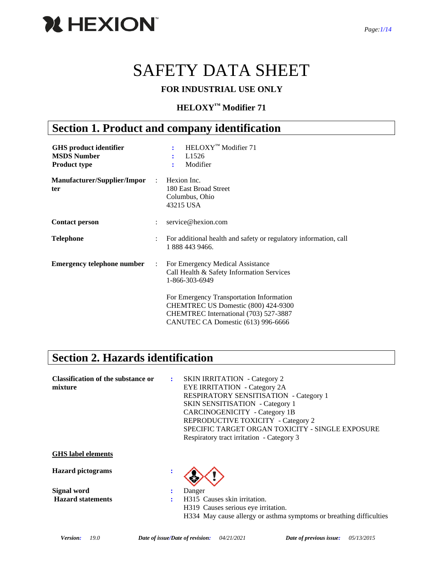

# SAFETY DATA SHEET

### **FOR INDUSTRIAL USE ONLY**

### **HELOXY™ Modifier 71**

### **Section 1. Product and company identification**

| <b>GHS</b> product identifier<br><b>MSDS Number</b><br><b>Product type</b> |                      | HELOXY <sup>™</sup> Modifier 71<br>L <sub>1526</sub><br>Modifier<br>÷                                                                                                              |
|----------------------------------------------------------------------------|----------------------|------------------------------------------------------------------------------------------------------------------------------------------------------------------------------------|
| Manufacturer/Supplier/Impor<br>ter                                         | $\mathbb{R}^n$       | Hexion Inc.<br>180 East Broad Street<br>Columbus, Ohio<br>43215 USA                                                                                                                |
| <b>Contact person</b>                                                      | $\ddot{\phantom{a}}$ | service@hexion.com                                                                                                                                                                 |
| <b>Telephone</b>                                                           | ÷                    | For additional health and safety or regulatory information, call<br>1 888 443 9466.                                                                                                |
| <b>Emergency telephone number</b>                                          | $\ddot{\phantom{a}}$ | For Emergency Medical Assistance<br>Call Health & Safety Information Services<br>1-866-303-6949<br>For Emergency Transportation Information<br>CHEMTREC US Domestic (800) 424-9300 |
|                                                                            |                      | CHEMTREC International (703) 527-3887<br>CANUTEC CA Domestic (613) 996-6666                                                                                                        |

### **Section 2. Hazards identification**

| <b>Classification of the substance or</b><br>mixture | ÷ | <b>SKIN IRRITATION</b> - Category 2<br><b>EYE IRRITATION</b> - Category 2A<br><b>RESPIRATORY SENSITISATION - Category 1</b><br><b>SKIN SENSITISATION</b> - Category 1<br><b>CARCINOGENICITY</b> - Category 1B<br>REPRODUCTIVE TOXICITY - Category 2<br>SPECIFIC TARGET ORGAN TOXICITY - SINGLE EXPOSURE<br>Respiratory tract irritation - Category 3 |
|------------------------------------------------------|---|------------------------------------------------------------------------------------------------------------------------------------------------------------------------------------------------------------------------------------------------------------------------------------------------------------------------------------------------------|
| <b>GHS</b> label elements                            |   |                                                                                                                                                                                                                                                                                                                                                      |
| <b>Hazard</b> pictograms                             |   |                                                                                                                                                                                                                                                                                                                                                      |
| Signal word                                          | : | Danger                                                                                                                                                                                                                                                                                                                                               |
| <b>Hazard statements</b>                             | ٠ | H315 Causes skin irritation.<br>H319 Causes serious eye irritation.<br>H334 May cause allergy or asthma symptoms or breathing difficulties                                                                                                                                                                                                           |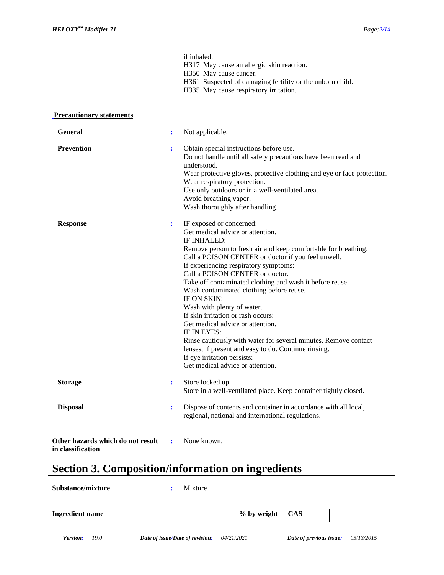|                                                        |                | if inhaled.<br>H317 May cause an allergic skin reaction.<br>H350 May cause cancer.<br>H361 Suspected of damaging fertility or the unborn child.<br>H335 May cause respiratory irritation.                                                                                                                                                                                                                                                                                                                                                                                                                                                                                                                                          |
|--------------------------------------------------------|----------------|------------------------------------------------------------------------------------------------------------------------------------------------------------------------------------------------------------------------------------------------------------------------------------------------------------------------------------------------------------------------------------------------------------------------------------------------------------------------------------------------------------------------------------------------------------------------------------------------------------------------------------------------------------------------------------------------------------------------------------|
| <b>Precautionary statements</b>                        |                |                                                                                                                                                                                                                                                                                                                                                                                                                                                                                                                                                                                                                                                                                                                                    |
| <b>General</b>                                         | $\ddot{\cdot}$ | Not applicable.                                                                                                                                                                                                                                                                                                                                                                                                                                                                                                                                                                                                                                                                                                                    |
| <b>Prevention</b>                                      | $\ddot{\cdot}$ | Obtain special instructions before use.<br>Do not handle until all safety precautions have been read and<br>understood.<br>Wear protective gloves, protective clothing and eye or face protection.<br>Wear respiratory protection.<br>Use only outdoors or in a well-ventilated area.<br>Avoid breathing vapor.<br>Wash thoroughly after handling.                                                                                                                                                                                                                                                                                                                                                                                 |
| <b>Response</b>                                        | $\ddot{\cdot}$ | IF exposed or concerned:<br>Get medical advice or attention.<br><b>IF INHALED:</b><br>Remove person to fresh air and keep comfortable for breathing.<br>Call a POISON CENTER or doctor if you feel unwell.<br>If experiencing respiratory symptoms:<br>Call a POISON CENTER or doctor.<br>Take off contaminated clothing and wash it before reuse.<br>Wash contaminated clothing before reuse.<br>IF ON SKIN:<br>Wash with plenty of water.<br>If skin irritation or rash occurs:<br>Get medical advice or attention.<br>IF IN EYES:<br>Rinse cautiously with water for several minutes. Remove contact<br>lenses, if present and easy to do. Continue rinsing.<br>If eye irritation persists:<br>Get medical advice or attention. |
| <b>Storage</b>                                         | $\ddot{\cdot}$ | Store locked up.<br>Store in a well-ventilated place. Keep container tightly closed.                                                                                                                                                                                                                                                                                                                                                                                                                                                                                                                                                                                                                                               |
| <b>Disposal</b>                                        | $\ddot{\cdot}$ | Dispose of contents and container in accordance with all local,<br>regional, national and international regulations.                                                                                                                                                                                                                                                                                                                                                                                                                                                                                                                                                                                                               |
| Other hazards which do not result<br>in classification | ÷              | None known.                                                                                                                                                                                                                                                                                                                                                                                                                                                                                                                                                                                                                                                                                                                        |

## **Section 3. Composition/information on ingredients**

**Substance/mixture :** Mixture

| <b>Ingredient name</b> | % by weight | <b>CAS</b> |
|------------------------|-------------|------------|
|------------------------|-------------|------------|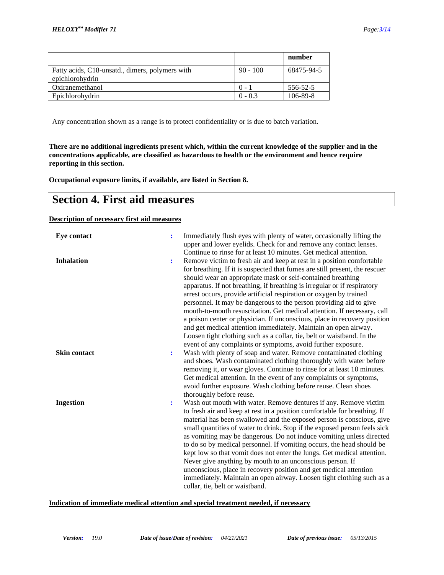|                                                                    |            | number     |
|--------------------------------------------------------------------|------------|------------|
| Fatty acids, C18-unsatd., dimers, polymers with<br>epichlorohydrin | $90 - 100$ | 68475-94-5 |
| Oxiranemethanol                                                    | $() =$     | 556-52-5   |
| Epichlorohydrin                                                    | $0 - 0.3$  | 106-89-8   |

Any concentration shown as a range is to protect confidentiality or is due to batch variation.

**There are no additional ingredients present which, within the current knowledge of the supplier and in the concentrations applicable, are classified as hazardous to health or the environment and hence require reporting in this section.**

**Occupational exposure limits, if available, are listed in Section 8.**

### **Section 4. First aid measures**

**Description of necessary first aid measures**

| <b>Eye contact</b>  | $\ddot{\cdot}$ | Immediately flush eyes with plenty of water, occasionally lifting the<br>upper and lower eyelids. Check for and remove any contact lenses.<br>Continue to rinse for at least 10 minutes. Get medical attention.                                                                                                                                                                                                                                                                                                                                                                                                                                                                                                                                                                                                 |
|---------------------|----------------|-----------------------------------------------------------------------------------------------------------------------------------------------------------------------------------------------------------------------------------------------------------------------------------------------------------------------------------------------------------------------------------------------------------------------------------------------------------------------------------------------------------------------------------------------------------------------------------------------------------------------------------------------------------------------------------------------------------------------------------------------------------------------------------------------------------------|
| <b>Inhalation</b>   | ÷              | Remove victim to fresh air and keep at rest in a position comfortable<br>for breathing. If it is suspected that fumes are still present, the rescuer<br>should wear an appropriate mask or self-contained breathing<br>apparatus. If not breathing, if breathing is irregular or if respiratory<br>arrest occurs, provide artificial respiration or oxygen by trained<br>personnel. It may be dangerous to the person providing aid to give<br>mouth-to-mouth resuscitation. Get medical attention. If necessary, call<br>a poison center or physician. If unconscious, place in recovery position<br>and get medical attention immediately. Maintain an open airway.<br>Loosen tight clothing such as a collar, tie, belt or waistband. In the<br>event of any complaints or symptoms, avoid further exposure. |
| <b>Skin contact</b> | ÷              | Wash with plenty of soap and water. Remove contaminated clothing<br>and shoes. Wash contaminated clothing thoroughly with water before<br>removing it, or wear gloves. Continue to rinse for at least 10 minutes.<br>Get medical attention. In the event of any complaints or symptoms,<br>avoid further exposure. Wash clothing before reuse. Clean shoes<br>thoroughly before reuse.                                                                                                                                                                                                                                                                                                                                                                                                                          |
| <b>Ingestion</b>    | ÷              | Wash out mouth with water. Remove dentures if any. Remove victim<br>to fresh air and keep at rest in a position comfortable for breathing. If<br>material has been swallowed and the exposed person is conscious, give<br>small quantities of water to drink. Stop if the exposed person feels sick<br>as vomiting may be dangerous. Do not induce vomiting unless directed<br>to do so by medical personnel. If vomiting occurs, the head should be<br>kept low so that vomit does not enter the lungs. Get medical attention.<br>Never give anything by mouth to an unconscious person. If<br>unconscious, place in recovery position and get medical attention<br>immediately. Maintain an open airway. Loosen tight clothing such as a<br>collar, tie, belt or waistband.                                   |

#### **Indication of immediate medical attention and special treatment needed, if necessary**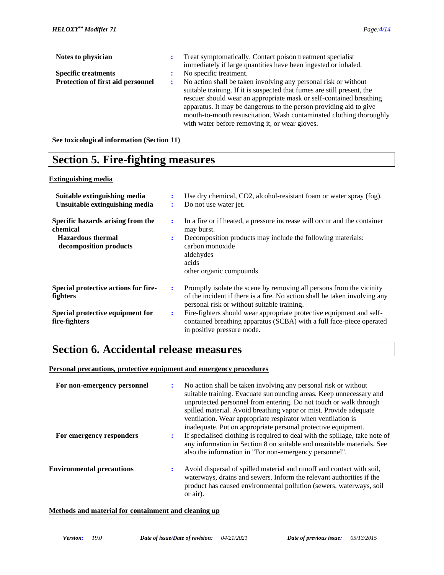| Notes to physician                |   | Treat symptomatically. Contact poison treatment specialist              |
|-----------------------------------|---|-------------------------------------------------------------------------|
|                                   |   | immediately if large quantities have been ingested or inhaled.          |
| <b>Specific treatments</b>        |   | No specific treatment.                                                  |
| Protection of first aid personnel | ÷ | No action shall be taken involving any personal risk or without         |
|                                   |   | suitable training. If it is suspected that fumes are still present, the |
|                                   |   | rescuer should wear an appropriate mask or self-contained breathing     |
|                                   |   | apparatus. It may be dangerous to the person providing aid to give      |
|                                   |   | mouth-to-mouth resuscitation. Wash contaminated clothing thoroughly     |
|                                   |   | with water before removing it, or wear gloves.                          |

**See toxicological information (Section 11)**

### **Section 5. Fire-fighting measures**

#### **Extinguishing media**

| Suitable extinguishing media<br>Unsuitable extinguishing media                                      | ÷      | Use dry chemical, CO2, alcohol-resistant foam or water spray (fog).<br>Do not use water jet.                                                                                                                              |
|-----------------------------------------------------------------------------------------------------|--------|---------------------------------------------------------------------------------------------------------------------------------------------------------------------------------------------------------------------------|
| Specific hazards arising from the<br>chemical<br><b>Hazardous</b> thermal<br>decomposition products | ÷<br>÷ | In a fire or if heated, a pressure increase will occur and the container<br>may burst.<br>Decomposition products may include the following materials:<br>carbon monoxide<br>aldehydes<br>acids<br>other organic compounds |
| Special protective actions for fire-<br>fighters                                                    | ÷      | Promptly isolate the scene by removing all persons from the vicinity<br>of the incident if there is a fire. No action shall be taken involving any<br>personal risk or without suitable training.                         |
| Special protective equipment for<br>fire-fighters                                                   | ÷      | Fire-fighters should wear appropriate protective equipment and self-<br>contained breathing apparatus (SCBA) with a full face-piece operated<br>in positive pressure mode.                                                |

### **Section 6. Accidental release measures**

#### **Personal precautions, protective equipment and emergency procedures**

| For non-emergency personnel      |    | No action shall be taken involving any personal risk or without<br>suitable training. Evacuate surrounding areas. Keep unnecessary and<br>unprotected personnel from entering. Do not touch or walk through<br>spilled material. Avoid breathing vapor or mist. Provide adequate<br>ventilation. Wear appropriate respirator when ventilation is |
|----------------------------------|----|--------------------------------------------------------------------------------------------------------------------------------------------------------------------------------------------------------------------------------------------------------------------------------------------------------------------------------------------------|
| For emergency responders         |    | inadequate. Put on appropriate personal protective equipment.<br>If specialised clothing is required to deal with the spillage, take note of<br>any information in Section 8 on suitable and unsuitable materials. See<br>also the information in "For non-emergency personnel".                                                                 |
| <b>Environmental precautions</b> | ٠. | Avoid dispersal of spilled material and runoff and contact with soil.<br>waterways, drains and sewers. Inform the relevant authorities if the<br>product has caused environmental pollution (sewers, waterways, soil<br>or air).                                                                                                                 |

#### **Methods and material for containment and cleaning up**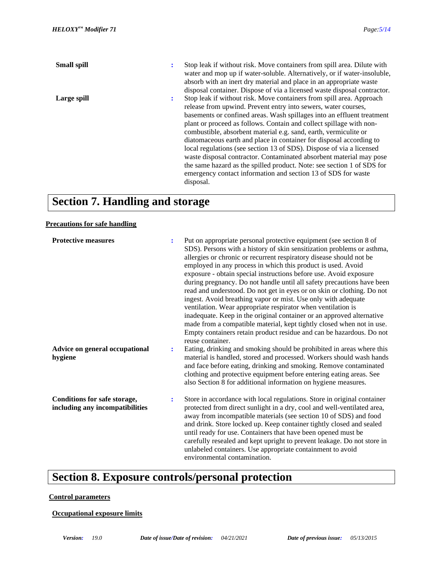| <b>Small spill</b> | ÷ | Stop leak if without risk. Move containers from spill area. Dilute with<br>water and mop up if water-soluble. Alternatively, or if water-insoluble,<br>absorb with an inert dry material and place in an appropriate waste                                                                                                                                                                                                                                                                                                                                                                                                                                        |
|--------------------|---|-------------------------------------------------------------------------------------------------------------------------------------------------------------------------------------------------------------------------------------------------------------------------------------------------------------------------------------------------------------------------------------------------------------------------------------------------------------------------------------------------------------------------------------------------------------------------------------------------------------------------------------------------------------------|
| Large spill        | ÷ | disposal container. Dispose of via a licensed waste disposal contractor.<br>Stop leak if without risk. Move containers from spill area. Approach                                                                                                                                                                                                                                                                                                                                                                                                                                                                                                                  |
|                    |   | release from upwind. Prevent entry into sewers, water courses,<br>basements or confined areas. Wash spillages into an effluent treatment<br>plant or proceed as follows. Contain and collect spillage with non-<br>combustible, absorbent material e.g. sand, earth, vermiculite or<br>diatomaceous earth and place in container for disposal according to<br>local regulations (see section 13 of SDS). Dispose of via a licensed<br>waste disposal contractor. Contaminated absorbent material may pose<br>the same hazard as the spilled product. Note: see section 1 of SDS for<br>emergency contact information and section 13 of SDS for waste<br>disposal. |

## **Section 7. Handling and storage**

#### **Precautions for safe handling**

| <b>Protective measures</b>                                      | ÷ | Put on appropriate personal protective equipment (see section 8 of<br>SDS). Persons with a history of skin sensitization problems or asthma,<br>allergies or chronic or recurrent respiratory disease should not be<br>employed in any process in which this product is used. Avoid<br>exposure - obtain special instructions before use. Avoid exposure<br>during pregnancy. Do not handle until all safety precautions have been<br>read and understood. Do not get in eyes or on skin or clothing. Do not<br>ingest. Avoid breathing vapor or mist. Use only with adequate<br>ventilation. Wear appropriate respirator when ventilation is<br>inadequate. Keep in the original container or an approved alternative<br>made from a compatible material, kept tightly closed when not in use.<br>Empty containers retain product residue and can be hazardous. Do not<br>reuse container. |
|-----------------------------------------------------------------|---|---------------------------------------------------------------------------------------------------------------------------------------------------------------------------------------------------------------------------------------------------------------------------------------------------------------------------------------------------------------------------------------------------------------------------------------------------------------------------------------------------------------------------------------------------------------------------------------------------------------------------------------------------------------------------------------------------------------------------------------------------------------------------------------------------------------------------------------------------------------------------------------------|
| Advice on general occupational<br>hygiene                       | ÷ | Eating, drinking and smoking should be prohibited in areas where this<br>material is handled, stored and processed. Workers should wash hands<br>and face before eating, drinking and smoking. Remove contaminated<br>clothing and protective equipment before entering eating areas. See<br>also Section 8 for additional information on hygiene measures.                                                                                                                                                                                                                                                                                                                                                                                                                                                                                                                                 |
| Conditions for safe storage,<br>including any incompatibilities | ÷ | Store in accordance with local regulations. Store in original container<br>protected from direct sunlight in a dry, cool and well-ventilated area,<br>away from incompatible materials (see section 10 of SDS) and food<br>and drink. Store locked up. Keep container tightly closed and sealed<br>until ready for use. Containers that have been opened must be<br>carefully resealed and kept upright to prevent leakage. Do not store in<br>unlabeled containers. Use appropriate containment to avoid<br>environmental contamination.                                                                                                                                                                                                                                                                                                                                                   |

### **Section 8. Exposure controls/personal protection**

#### **Control parameters**

**Occupational exposure limits**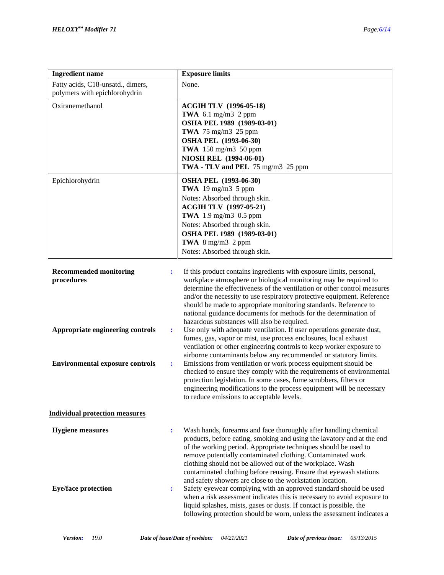| <b>Ingredient name</b>                                                               | <b>Exposure limits</b>                                                                                                                                                                                                                                                                                                                                                                                                                                                                                                                                                       |
|--------------------------------------------------------------------------------------|------------------------------------------------------------------------------------------------------------------------------------------------------------------------------------------------------------------------------------------------------------------------------------------------------------------------------------------------------------------------------------------------------------------------------------------------------------------------------------------------------------------------------------------------------------------------------|
| Fatty acids, C18-unsatd., dimers,<br>polymers with epichlorohydrin                   | None.                                                                                                                                                                                                                                                                                                                                                                                                                                                                                                                                                                        |
| Oxiranemethanol                                                                      | <b>ACGIH TLV</b> (1996-05-18)<br>TWA 6.1 mg/m3 2 ppm<br>OSHA PEL 1989 (1989-03-01)<br>TWA $75 \text{ mg/m}3$ 25 ppm<br>OSHA PEL (1993-06-30)<br>TWA $150 \text{ mg/m}$ 3 50 ppm<br>NIOSH REL (1994-06-01)<br>TWA - TLV and PEL 75 mg/m3 25 ppm                                                                                                                                                                                                                                                                                                                               |
| Epichlorohydrin                                                                      | <b>OSHA PEL (1993-06-30)</b><br>TWA 19 mg/m3 $5$ ppm<br>Notes: Absorbed through skin.<br><b>ACGIH TLV (1997-05-21)</b><br>TWA 1.9 mg/m3 0.5 ppm<br>Notes: Absorbed through skin.<br>OSHA PEL 1989 (1989-03-01)<br>TWA $8 \text{ mg/m}3$ 2 ppm<br>Notes: Absorbed through skin.                                                                                                                                                                                                                                                                                               |
| <b>Recommended monitoring</b><br>÷<br>procedures                                     | If this product contains ingredients with exposure limits, personal,<br>workplace atmosphere or biological monitoring may be required to<br>determine the effectiveness of the ventilation or other control measures<br>and/or the necessity to use respiratory protective equipment. Reference<br>should be made to appropriate monitoring standards. Reference to<br>national guidance documents for methods for the determination of<br>hazardous substances will also be required.                                                                                       |
| Appropriate engineering controls<br>÷<br><b>Environmental exposure controls</b><br>÷ | Use only with adequate ventilation. If user operations generate dust,<br>fumes, gas, vapor or mist, use process enclosures, local exhaust<br>ventilation or other engineering controls to keep worker exposure to<br>airborne contaminants below any recommended or statutory limits.<br>Emissions from ventilation or work process equipment should be<br>checked to ensure they comply with the requirements of environmental<br>protection legislation. In some cases, fume scrubbers, filters or<br>engineering modifications to the process equipment will be necessary |
| <b>Individual protection measures</b>                                                | to reduce emissions to acceptable levels.                                                                                                                                                                                                                                                                                                                                                                                                                                                                                                                                    |
| <b>Hygiene</b> measures<br>$\ddot{\cdot}$                                            | Wash hands, forearms and face thoroughly after handling chemical<br>products, before eating, smoking and using the lavatory and at the end<br>of the working period. Appropriate techniques should be used to<br>remove potentially contaminated clothing. Contaminated work<br>clothing should not be allowed out of the workplace. Wash<br>contaminated clothing before reusing. Ensure that eyewash stations<br>and safety showers are close to the workstation location.                                                                                                 |
| <b>Eye/face protection</b><br>÷                                                      | Safety eyewear complying with an approved standard should be used<br>when a risk assessment indicates this is necessary to avoid exposure to<br>liquid splashes, mists, gases or dusts. If contact is possible, the<br>following protection should be worn, unless the assessment indicates a                                                                                                                                                                                                                                                                                |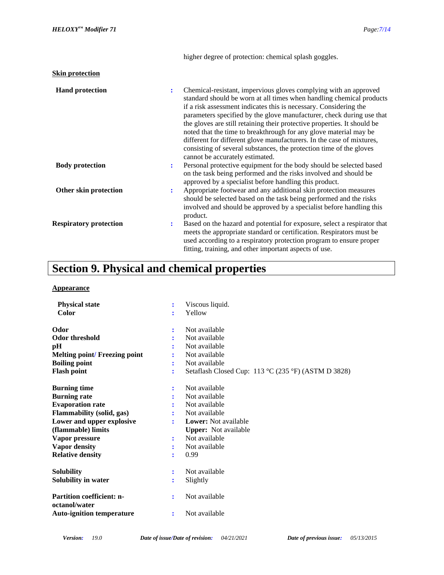| <b>Skin protection</b>        |   |                                                                                                                                                                                                                                                                                                                                                                                                                                                                                                                                                                                                                            |
|-------------------------------|---|----------------------------------------------------------------------------------------------------------------------------------------------------------------------------------------------------------------------------------------------------------------------------------------------------------------------------------------------------------------------------------------------------------------------------------------------------------------------------------------------------------------------------------------------------------------------------------------------------------------------------|
| <b>Hand protection</b>        | ÷ | Chemical-resistant, impervious gloves complying with an approved<br>standard should be worn at all times when handling chemical products<br>if a risk assessment indicates this is necessary. Considering the<br>parameters specified by the glove manufacturer, check during use that<br>the gloves are still retaining their protective properties. It should be<br>noted that the time to breakthrough for any glove material may be<br>different for different glove manufacturers. In the case of mixtures,<br>consisting of several substances, the protection time of the gloves<br>cannot be accurately estimated. |
| <b>Body protection</b>        | ÷ | Personal protective equipment for the body should be selected based<br>on the task being performed and the risks involved and should be<br>approved by a specialist before handling this product.                                                                                                                                                                                                                                                                                                                                                                                                                          |
| Other skin protection         | ÷ | Appropriate footwear and any additional skin protection measures<br>should be selected based on the task being performed and the risks<br>involved and should be approved by a specialist before handling this<br>product.                                                                                                                                                                                                                                                                                                                                                                                                 |
| <b>Respiratory protection</b> | ÷ | Based on the hazard and potential for exposure, select a respirator that<br>meets the appropriate standard or certification. Respirators must be<br>used according to a respiratory protection program to ensure proper<br>fitting, training, and other important aspects of use.                                                                                                                                                                                                                                                                                                                                          |

higher degree of protection: chemical splash goggles.

## **Section 9. Physical and chemical properties**

#### **Appearance**

| <b>Physical state</b>                             | ÷              | Viscous liquid.                                     |  |  |
|---------------------------------------------------|----------------|-----------------------------------------------------|--|--|
| Color                                             | ÷              | Yellow                                              |  |  |
| Odor                                              | ÷              | Not available                                       |  |  |
| <b>Odor threshold</b>                             |                | Not available                                       |  |  |
| pH                                                |                | Not available                                       |  |  |
| <b>Melting point/ Freezing point</b>              |                | Not available                                       |  |  |
| <b>Boiling point</b>                              | ÷              | Not available                                       |  |  |
| <b>Flash point</b>                                | $\ddot{\cdot}$ | Setaflash Closed Cup: 113 °C (235 °F) (ASTM D 3828) |  |  |
| <b>Burning time</b>                               |                | Not available                                       |  |  |
| <b>Burning rate</b>                               |                | Not available                                       |  |  |
| <b>Evaporation rate</b>                           |                | Not available                                       |  |  |
| Flammability (solid, gas)                         | ÷              | Not available                                       |  |  |
| Lower and upper explosive                         | ÷              | Lower: Not available                                |  |  |
| (flammable) limits                                |                | <b>Upper:</b> Not available                         |  |  |
| Vapor pressure                                    | ÷              | Not available                                       |  |  |
| Vapor density                                     |                | Not available                                       |  |  |
| <b>Relative density</b>                           | ÷              | 0.99                                                |  |  |
| <b>Solubility</b>                                 | $\ddot{\cdot}$ | Not available                                       |  |  |
| Solubility in water                               | ÷              | Slightly                                            |  |  |
| <b>Partition coefficient: n-</b><br>octanol/water | ÷              | Not available                                       |  |  |
| <b>Auto-ignition temperature</b>                  | ÷              | Not available                                       |  |  |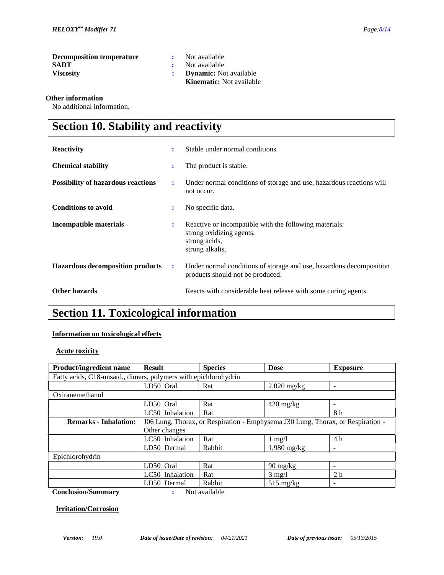| <b>Decomposition temperature</b> | Not available                 |
|----------------------------------|-------------------------------|
| <b>SADT</b>                      | : Not available               |
| <b>Viscosity</b>                 | <b>Dynamic:</b> Not available |

| <b>Kinematic:</b> Not available |
|---------------------------------|
| <b>Dynamic:</b> Not available   |
| Not available                   |
| Not available                   |

#### **Other information**

No additional information.

## **Section 10. Stability and reactivity**

| <b>Reactivity</b>                         | ÷  | Stable under normal conditions.                                                                                        |
|-------------------------------------------|----|------------------------------------------------------------------------------------------------------------------------|
| <b>Chemical stability</b>                 | ٠. | The product is stable.                                                                                                 |
| <b>Possibility of hazardous reactions</b> | ÷  | Under normal conditions of storage and use, hazardous reactions will<br>not occur.                                     |
| <b>Conditions to avoid</b>                | ÷  | No specific data.                                                                                                      |
| Incompatible materials                    | ÷  | Reactive or incompatible with the following materials:<br>strong oxidizing agents,<br>strong acids,<br>strong alkalis, |
| <b>Hazardous decomposition products</b>   | ÷  | Under normal conditions of storage and use, hazardous decomposition<br>products should not be produced.                |
| Other hazards                             |    | Reacts with considerable heat release with some curing agents.                                                         |

### **Section 11. Toxicological information**

#### **Information on toxicological effects**

#### **Acute toxicity**

| <b>Product/ingredient name</b>                                  | <b>Result</b>                                                                   | <b>Species</b> | <b>Dose</b>                      | <b>Exposure</b>          |  |
|-----------------------------------------------------------------|---------------------------------------------------------------------------------|----------------|----------------------------------|--------------------------|--|
| Fatty acids, C18-unsatd., dimers, polymers with epichlorohydrin |                                                                                 |                |                                  |                          |  |
|                                                                 | LD50 Oral                                                                       | Rat            | $2,020$ mg/kg                    | ۰                        |  |
| Oxiranemethanol                                                 |                                                                                 |                |                                  |                          |  |
|                                                                 | LD50 Oral                                                                       | Rat            | $420 \text{ mg/kg}$              |                          |  |
|                                                                 | LC50 Inhalation                                                                 | Rat            |                                  | 8 h                      |  |
| <b>Remarks - Inhalation:</b>                                    | J06 Lung, Thorax, or Respiration - Emphysema J30 Lung, Thorax, or Respiration - |                |                                  |                          |  |
|                                                                 | Other changes                                                                   |                |                                  |                          |  |
|                                                                 | LC50 Inhalation                                                                 | Rat            | $1 \text{ mg}/1$                 | 4 h                      |  |
|                                                                 | LD50 Dermal                                                                     | Rabbit         | $1,980$ mg/kg                    | $\overline{\phantom{a}}$ |  |
| Epichlorohydrin                                                 |                                                                                 |                |                                  |                          |  |
|                                                                 | LD50 Oral                                                                       | Rat            | $90 \frac{\text{mg}}{\text{kg}}$ |                          |  |
|                                                                 | LC50 Inhalation                                                                 | Rat            | $3 \text{ mg}/1$                 | 2 <sub>h</sub>           |  |
|                                                                 | LD50 Dermal                                                                     | Rabbit         | $515 \text{ mg/kg}$              | $\overline{\phantom{a}}$ |  |
| <b>Conclusion/Summary</b>                                       |                                                                                 | Not available  |                                  |                          |  |

#### **Irritation/Corrosion**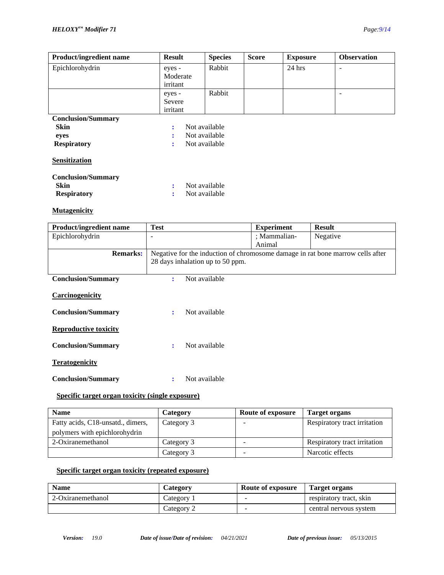| <b>Product/ingredient name</b>           | <b>Result</b>                  | <b>Species</b> | <b>Score</b> | <b>Exposure</b> | <b>Observation</b> |
|------------------------------------------|--------------------------------|----------------|--------------|-----------------|--------------------|
| Epichlorohydrin                          | eyes -<br>Moderate<br>irritant | Rabbit         |              | $24$ hrs        | ۰                  |
|                                          | eyes -<br>Severe<br>irritant   | Rabbit         |              |                 |                    |
| <b>Conclusion/Summary</b>                |                                |                |              |                 |                    |
| <b>Skin</b>                              | ÷                              | Not available  |              |                 |                    |
| eyes                                     | ٠                              | Not available  |              |                 |                    |
| <b>Respiratory</b>                       | ÷                              | Not available  |              |                 |                    |
| <b>Sensitization</b>                     |                                |                |              |                 |                    |
| <b>Conclusion/Summary</b><br><b>Skin</b> |                                | Not available  |              |                 |                    |
| <b>Respiratory</b>                       |                                | Not available  |              |                 |                    |

#### **Mutagenicity**

| <b>Product/ingredient name</b> | <b>Test</b>                                                                    | <b>Experiment</b> | <b>Result</b> |
|--------------------------------|--------------------------------------------------------------------------------|-------------------|---------------|
| Epichlorohydrin                |                                                                                | ; Mammalian-      | Negative      |
|                                |                                                                                | Animal            |               |
| <b>Remarks:</b>                | Negative for the induction of chromosome damage in rat bone marrow cells after |                   |               |
|                                | 28 days inhalation up to 50 ppm.                                               |                   |               |
|                                |                                                                                |                   |               |
| <b>Conclusion/Summary</b>      | Not available<br>÷                                                             |                   |               |
|                                |                                                                                |                   |               |
| Carcinogenicity                |                                                                                |                   |               |
|                                |                                                                                |                   |               |
| <b>Conclusion/Summary</b>      | Not available<br>÷                                                             |                   |               |
|                                |                                                                                |                   |               |
| <b>Reproductive toxicity</b>   |                                                                                |                   |               |
|                                |                                                                                |                   |               |
| <b>Conclusion/Summary</b>      | Not available<br>÷                                                             |                   |               |
| <b>Teratogenicity</b>          |                                                                                |                   |               |
|                                |                                                                                |                   |               |
| <b>Conclusion/Summary</b>      | Not available                                                                  |                   |               |
|                                |                                                                                |                   |               |

#### **Specific target organ toxicity (single exposure)**

| <b>Name</b>                       | Category   | Route of exposure        | Target organs                |
|-----------------------------------|------------|--------------------------|------------------------------|
| Fatty acids, C18-unsatd., dimers, | Category 3 |                          | Respiratory tract irritation |
| polymers with epichlorohydrin     |            |                          |                              |
| 2-Oxiranemethanol                 | Category 3 | $\overline{\phantom{a}}$ | Respiratory tract irritation |
|                                   | Category 3 |                          | Narcotic effects             |

#### **Specific target organ toxicity (repeated exposure)**

| <b>Name</b>       | Category   | Route of exposure | Target organs           |
|-------------------|------------|-------------------|-------------------------|
| 2-Oxiranemethanol | Category 1 | -                 | respiratory tract, skin |
|                   | Category 2 | -                 | central nervous system  |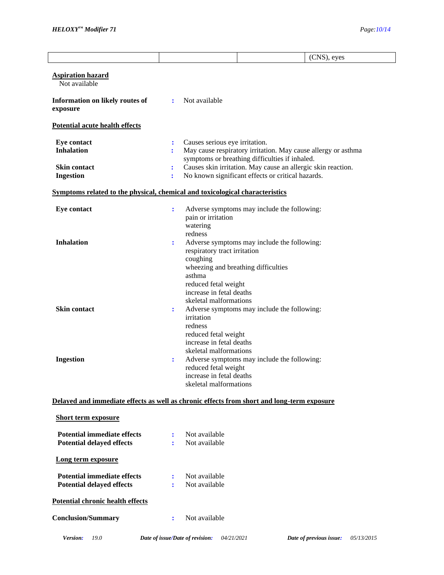|                                                                        | (CNS), eyes                                                                                                                                                                                                                                                                                                                                             |
|------------------------------------------------------------------------|---------------------------------------------------------------------------------------------------------------------------------------------------------------------------------------------------------------------------------------------------------------------------------------------------------------------------------------------------------|
| <b>Aspiration hazard</b><br>Not available                              |                                                                                                                                                                                                                                                                                                                                                         |
| Information on likely routes of<br>exposure                            | Not available<br>÷                                                                                                                                                                                                                                                                                                                                      |
| Potential acute health effects                                         |                                                                                                                                                                                                                                                                                                                                                         |
| <b>Eye contact</b><br><b>Inhalation</b>                                | Causes serious eye irritation.<br>$\ddot{\cdot}$<br>May cause respiratory irritation. May cause allergy or asthma<br>symptoms or breathing difficulties if inhaled.                                                                                                                                                                                     |
| <b>Skin contact</b><br><b>Ingestion</b>                                | Causes skin irritation. May cause an allergic skin reaction.<br>÷<br>No known significant effects or critical hazards.                                                                                                                                                                                                                                  |
|                                                                        | Symptoms related to the physical, chemical and toxicological characteristics                                                                                                                                                                                                                                                                            |
| <b>Eye contact</b>                                                     | Adverse symptoms may include the following:<br>÷                                                                                                                                                                                                                                                                                                        |
| <b>Inhalation</b>                                                      | pain or irritation<br>watering<br>redness<br>Adverse symptoms may include the following:<br>:<br>respiratory tract irritation<br>coughing<br>wheezing and breathing difficulties                                                                                                                                                                        |
| <b>Skin contact</b><br><b>Ingestion</b>                                | asthma<br>reduced fetal weight<br>increase in fetal deaths<br>skeletal malformations<br>Adverse symptoms may include the following:<br>÷<br>irritation<br>redness<br>reduced fetal weight<br>increase in fetal deaths<br>skeletal malformations<br>Adverse symptoms may include the following:<br>÷<br>reduced fetal weight<br>increase in fetal deaths |
|                                                                        | skeletal malformations                                                                                                                                                                                                                                                                                                                                  |
| <b>Short term exposure</b>                                             | Delayed and immediate effects as well as chronic effects from short and long-term exposure                                                                                                                                                                                                                                                              |
| <b>Potential immediate effects</b><br><b>Potential delayed effects</b> | Not available<br>٠.<br>Not available                                                                                                                                                                                                                                                                                                                    |
| Long term exposure                                                     |                                                                                                                                                                                                                                                                                                                                                         |
| <b>Potential immediate effects</b><br><b>Potential delayed effects</b> | Not available<br>÷<br>Not available                                                                                                                                                                                                                                                                                                                     |
| Potential chronic health effects                                       |                                                                                                                                                                                                                                                                                                                                                         |
| <b>Conclusion/Summary</b>                                              | Not available<br>÷                                                                                                                                                                                                                                                                                                                                      |
| Version:<br>19.0                                                       | Date of issue/Date of revision:<br>Date of previous issue:<br>04/21/2021<br>05/13/2015                                                                                                                                                                                                                                                                  |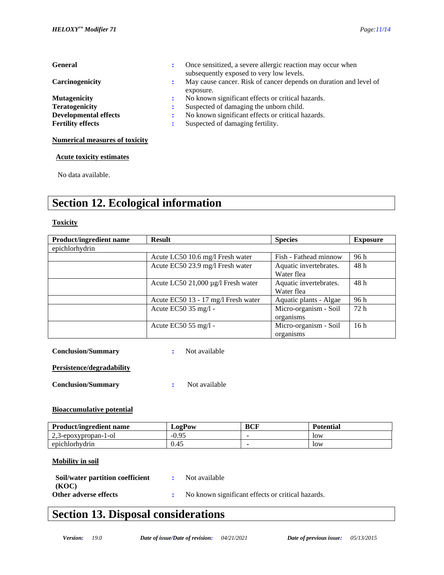| <b>General</b>               | Once sensitized, a severe allergic reaction may occur when<br>:<br>subsequently exposed to very low levels. |
|------------------------------|-------------------------------------------------------------------------------------------------------------|
| Carcinogenicity              | May cause cancer. Risk of cancer depends on duration and level of<br>÷.<br>exposure.                        |
| <b>Mutagenicity</b>          | No known significant effects or critical hazards.<br>$\mathbf{L}$                                           |
| <b>Teratogenicity</b>        | Suspected of damaging the unborn child.                                                                     |
| <b>Developmental effects</b> | No known significant effects or critical hazards.                                                           |
| <b>Fertility effects</b>     | Suspected of damaging fertility.                                                                            |
|                              |                                                                                                             |

#### **Numerical measures of toxicity**

 **Acute toxicity estimates**

No data available.

### **Section 12. Ecological information**

#### **Toxicity**

| <b>Product/ingredient name</b> | <b>Result</b>                       | <b>Species</b>         | <b>Exposure</b> |
|--------------------------------|-------------------------------------|------------------------|-----------------|
| epichlorhydrin                 |                                     |                        |                 |
|                                | Acute LC50 10.6 mg/l Fresh water    | Fish - Fathead minnow  | 96 h            |
|                                | Acute EC50 23.9 mg/l Fresh water    | Aquatic invertebrates. | 48 h            |
|                                |                                     | Water flea             |                 |
|                                | Acute LC50 21,000 µg/l Fresh water  | Aquatic invertebrates. | 48 h            |
|                                |                                     | Water flea             |                 |
|                                | Acute EC50 13 - 17 mg/l Fresh water | Aquatic plants - Algae | 96 h            |
|                                | Acute EC50 35 mg/l -                | Micro-organism - Soil  | 72 h            |
|                                |                                     | organisms              |                 |
|                                | Acute EC50 55 mg/l -                | Micro-organism - Soil  | 16h             |
|                                |                                     | organisms              |                 |

**Conclusion/Summary :** Not available

**Persistence/degradability**

**Conclusion/Summary :** Not available

#### **Bioaccumulative potential**

| <b>Product/ingredient name</b> | LogPow  | BCF | <b>Potential</b> |
|--------------------------------|---------|-----|------------------|
| 2.3-epoxypropan-1-ol           | $-0.95$ |     | low              |
| epichlorhydrin                 | 0.45    |     | low              |

#### **Mobility in soil**

| Soil/water partition coefficient | : Not available                                   |
|----------------------------------|---------------------------------------------------|
| (KOC)                            |                                                   |
| Other adverse effects            | No known significant effects or critical hazards. |

### **Section 13. Disposal considerations**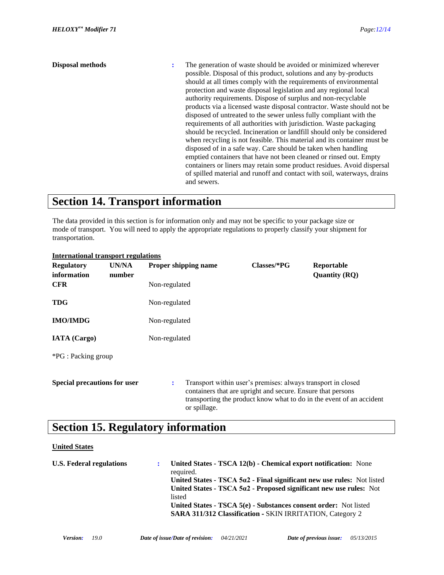#### **Disposal methods :** The generation of waste should be avoided or minimized wherever possible. Disposal of this product, solutions and any by-products should at all times comply with the requirements of environmental protection and waste disposal legislation and any regional local authority requirements. Dispose of surplus and non-recyclable products via a licensed waste disposal contractor. Waste should not be disposed of untreated to the sewer unless fully compliant with the requirements of all authorities with jurisdiction. Waste packaging should be recycled. Incineration or landfill should only be considered when recycling is not feasible. This material and its container must be disposed of in a safe way. Care should be taken when handling emptied containers that have not been cleaned or rinsed out. Empty containers or liners may retain some product residues. Avoid dispersal of spilled material and runoff and contact with soil, waterways, drains and sewers.

### **Section 14. Transport information**

The data provided in this section is for information only and may not be specific to your package size or mode of transport. You will need to apply the appropriate regulations to properly classify your shipment for transportation.

| <b>Regulatory</b><br>information    | UN/NA<br>number |               | Proper shipping name | Classes/*PG | Reportable<br><b>Quantity (RQ)</b>                                                                                                                                                                  |
|-------------------------------------|-----------------|---------------|----------------------|-------------|-----------------------------------------------------------------------------------------------------------------------------------------------------------------------------------------------------|
| <b>CFR</b>                          |                 | Non-regulated |                      |             |                                                                                                                                                                                                     |
| <b>TDG</b>                          |                 | Non-regulated |                      |             |                                                                                                                                                                                                     |
| <b>IMO/IMDG</b>                     |                 | Non-regulated |                      |             |                                                                                                                                                                                                     |
| <b>IATA</b> (Cargo)                 |                 | Non-regulated |                      |             |                                                                                                                                                                                                     |
| *PG : Packing group                 |                 |               |                      |             |                                                                                                                                                                                                     |
| <b>Special precautions for user</b> |                 | ÷             | or spillage.         |             | Transport within user's premises: always transport in closed<br>containers that are upright and secure. Ensure that persons<br>transporting the product know what to do in the event of an accident |

#### **International transport regulations**

### **Section 15. Regulatory information**

#### **United States**

| <b>U.S. Federal regulations</b> | United States - TSCA 12(b) - Chemical export notification: None<br>required.   |
|---------------------------------|--------------------------------------------------------------------------------|
|                                 | United States - TSCA $5\alpha$ 2 - Final significant new use rules: Not listed |
|                                 | United States - TSCA $5a2$ - Proposed significant new use rules: Not           |
|                                 | listed                                                                         |
|                                 | United States - TSCA 5(e) - Substances consent order: Not listed               |
|                                 | <b>SARA 311/312 Classification - SKIN IRRITATION, Category 2</b>               |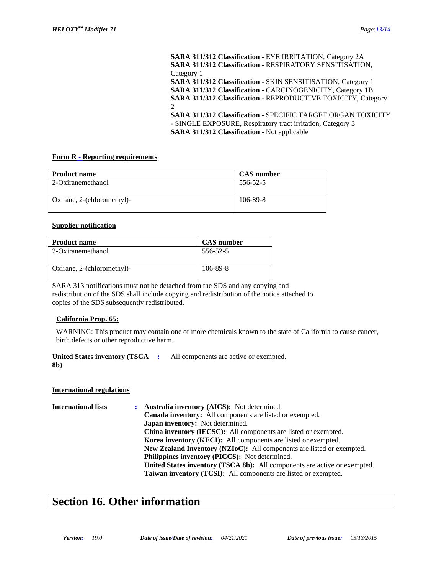**SARA 311/312 Classification -** EYE IRRITATION, Category 2A **SARA 311/312 Classification -** RESPIRATORY SENSITISATION, Category 1 **SARA 311/312 Classification -** SKIN SENSITISATION, Category 1 **SARA 311/312 Classification -** CARCINOGENICITY, Category 1B **SARA 311/312 Classification -** REPRODUCTIVE TOXICITY, Category 2 **SARA 311/312 Classification -** SPECIFIC TARGET ORGAN TOXICITY - SINGLE EXPOSURE, Respiratory tract irritation, Category 3 **SARA 311/312 Classification -** Not applicable

#### **Form R - Reporting requirements**

| <b>Product name</b>        | <b>CAS</b> number |
|----------------------------|-------------------|
| 2-Oxiranemethanol          | 556-52-5          |
| Oxirane, 2-(chloromethyl)- | 106-89-8          |

#### **Supplier notification**

| <b>Product name</b>        | <b>CAS</b> number |
|----------------------------|-------------------|
| 2-Oxiranemethanol          | 556-52-5          |
| Oxirane, 2-(chloromethyl)- | 106-89-8          |

SARA 313 notifications must not be detached from the SDS and any copying and redistribution of the SDS shall include copying and redistribution of the notice attached to copies of the SDS subsequently redistributed.

#### **California Prop. 65:**

WARNING: This product may contain one or more chemicals known to the state of California to cause cancer, birth defects or other reproductive harm.

**United States inventory (TSCA 8b) :** All components are active or exempted.

#### **International regulations**

**International lists : Australia inventory (AICS):** Not determined. **Canada inventory:** All components are listed or exempted. **Japan inventory:** Not determined. **China inventory (IECSC):** All components are listed or exempted. **Korea inventory (KECI):** All components are listed or exempted. **New Zealand Inventory (NZIoC):** All components are listed or exempted. **Philippines inventory (PICCS):** Not determined. **United States inventory (TSCA 8b):** All components are active or exempted. **Taiwan inventory (TCSI):** All components are listed or exempted.

### **Section 16. Other information**